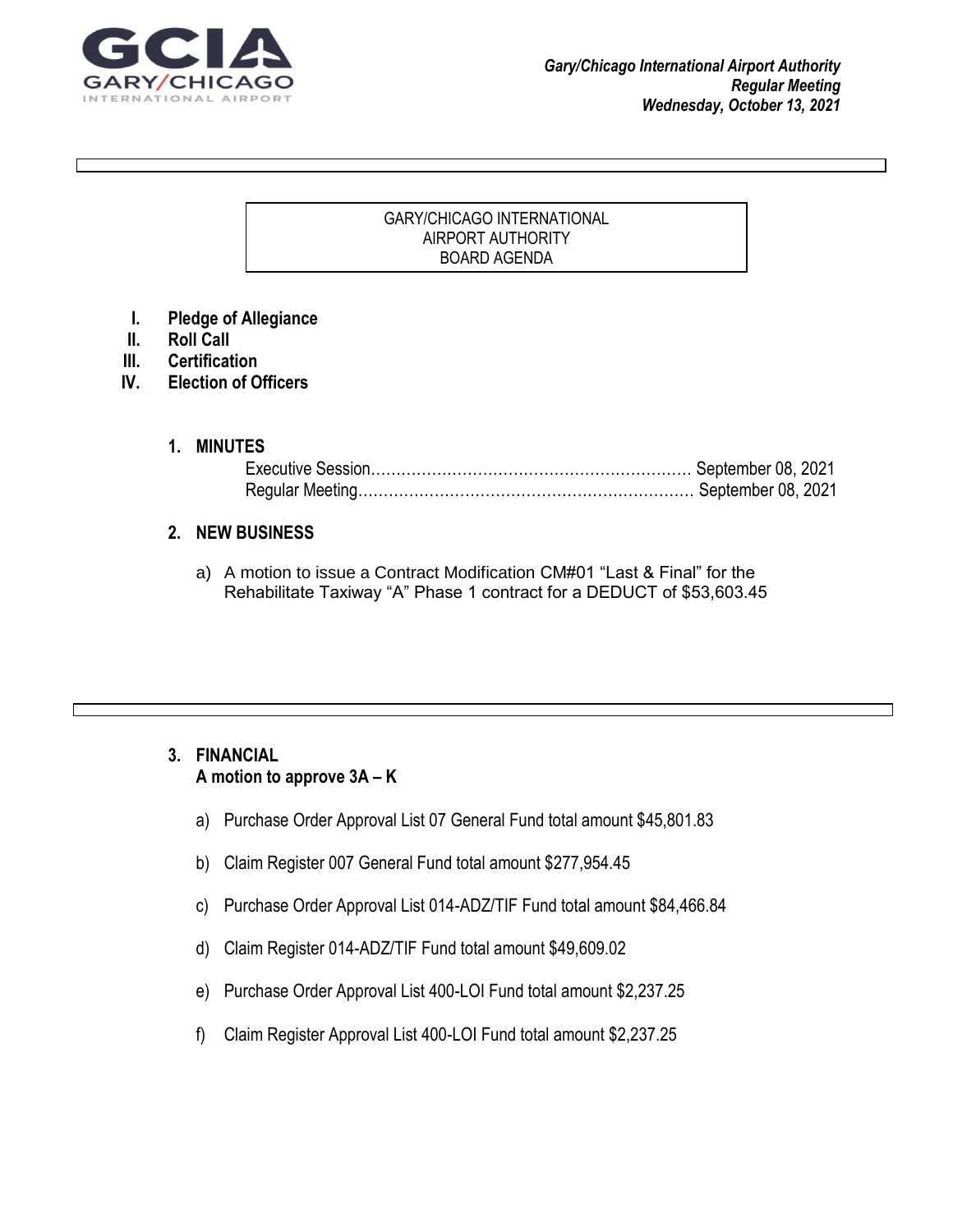

#### GARY/CHICAGO INTERNATIONAL AIRPORT AUTHORITY BOARD AGENDA

 $\mathcal{G}_\mathcal{G}$  at tention with a great  $\mathcal{G}_\mathcal{G}$  and document or use this space to emphasize at this space to emphasize at

key point. To place the place this text box anywhere on the page, just drag it. It is the page, just drag it.

- **I. Pledge of Allegiance**
- **II. Roll Call**
- **III. Certification**
- **IV. Election of Officers**

#### **1. MINUTES**

### **2. NEW BUSINESS**

a) A motion to issue a Contract Modification CM#01 "Last & Final" for the Rehabilitate Taxiway "A" Phase 1 contract for a DEDUCT of \$53,603.45

# **3. FINANCIAL A motion to approve 3A – K**

- a) Purchase Order Approval List 07 General Fund total amount \$45,801.83
- b) Claim Register 007 General Fund total amount \$277,954.45
- c) Purchase Order Approval List 014-ADZ/TIF Fund total amount \$84,466.84
- d) Claim Register 014-ADZ/TIF Fund total amount \$49,609.02
- e) Purchase Order Approval List 400-LOI Fund total amount \$2,237.25
- f) Claim Register Approval List 400-LOI Fund total amount \$2,237.25